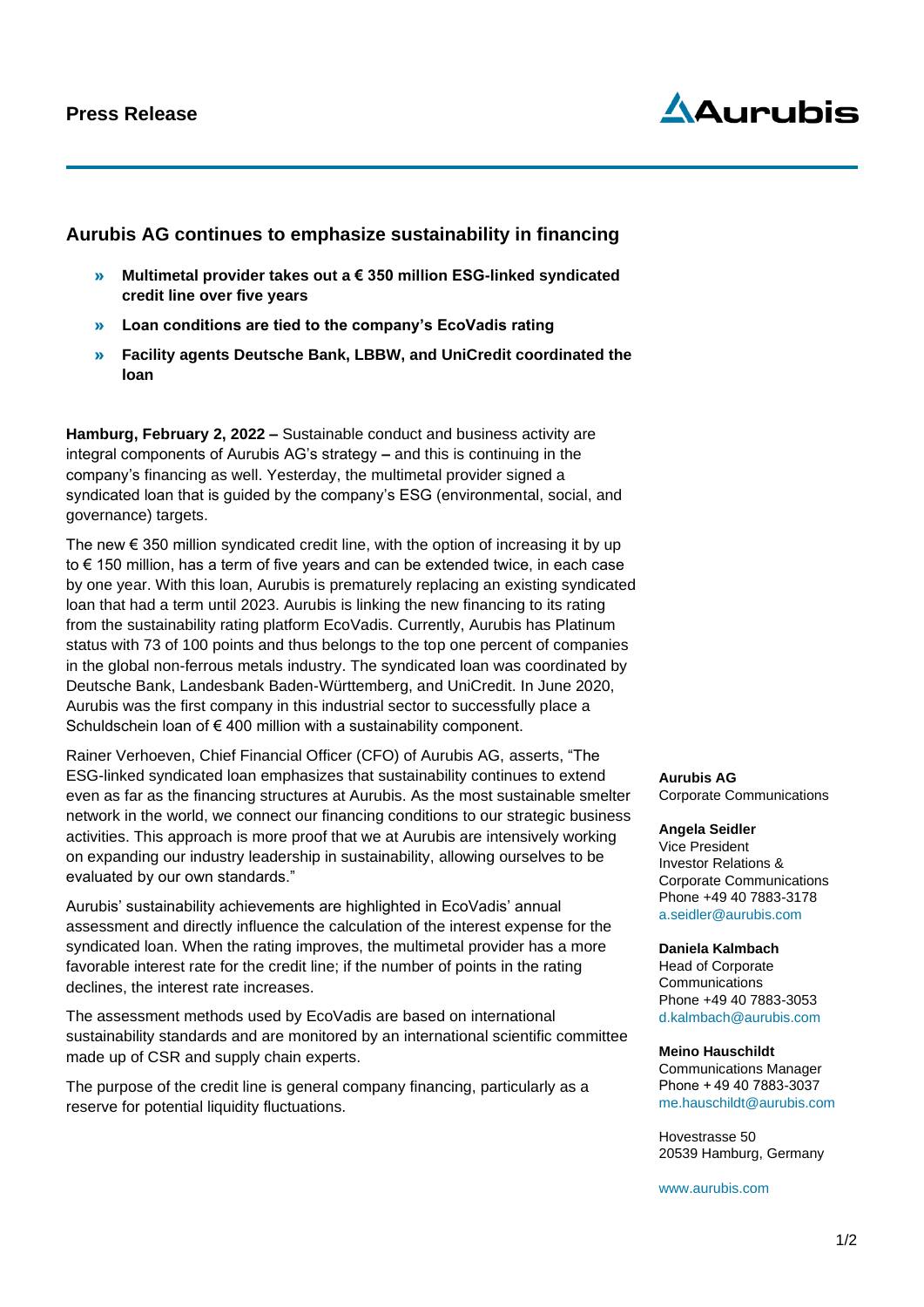

# **Aurubis AG continues to emphasize sustainability in financing**

- » **Multimetal provider takes out a € 350 million ESG-linked syndicated credit line over five years**
- » **Loan conditions are tied to the company's EcoVadis rating**
- » **Facility agents Deutsche Bank, LBBW, and UniCredit coordinated the loan**

**Hamburg, February 2, 2022 –** Sustainable conduct and business activity are integral components of Aurubis AG's strategy **–** and this is continuing in the company's financing as well. Yesterday, the multimetal provider signed a syndicated loan that is guided by the company's ESG (environmental, social, and governance) targets.

The new  $\epsilon$  350 million syndicated credit line, with the option of increasing it by up to € 150 million, has a term of five years and can be extended twice, in each case by one year. With this loan, Aurubis is prematurely replacing an existing syndicated loan that had a term until 2023. Aurubis is linking the new financing to its rating from the sustainability rating platform EcoVadis. Currently, Aurubis has Platinum status with 73 of 100 points and thus belongs to the top one percent of companies in the global non-ferrous metals industry. The syndicated loan was coordinated by Deutsche Bank, Landesbank Baden-Württemberg, and UniCredit. In June 2020, Aurubis was the first company in this industrial sector to successfully place a Schuldschein loan of € 400 million with a sustainability component.

Rainer Verhoeven, Chief Financial Officer (CFO) of Aurubis AG, asserts, "The ESG-linked syndicated loan emphasizes that sustainability continues to extend even as far as the financing structures at Aurubis. As the most sustainable smelter network in the world, we connect our financing conditions to our strategic business activities. This approach is more proof that we at Aurubis are intensively working on expanding our industry leadership in sustainability, allowing ourselves to be evaluated by our own standards."

Aurubis' sustainability achievements are highlighted in EcoVadis' annual assessment and directly influence the calculation of the interest expense for the syndicated loan. When the rating improves, the multimetal provider has a more favorable interest rate for the credit line; if the number of points in the rating declines, the interest rate increases.

The assessment methods used by EcoVadis are based on international sustainability standards and are monitored by an international scientific committee made up of CSR and supply chain experts.

The purpose of the credit line is general company financing, particularly as a reserve for potential liquidity fluctuations.

**Aurubis AG** Corporate Communications

#### **Angela Seidler**

Vice President Investor Relations & Corporate Communications Phone +49 40 7883-3178 a.seidler@aurubis.com

#### **Daniela Kalmbach**

Head of Corporate **Communications** Phone +49 40 7883-3053 [d.kalmbach@aurubis.com](mailto:d.kalmbach@aurubis.com)

## **Meino Hauschildt**

Communications Manager Phone + 49 40 7883-3037 [me.hauschildt@aurubis.com](mailto:me.hauschildt@aurubis.com)

Hovestrasse 50 20539 Hamburg, Germany

[www.aurubis.com](http://www.aurubis.com/)